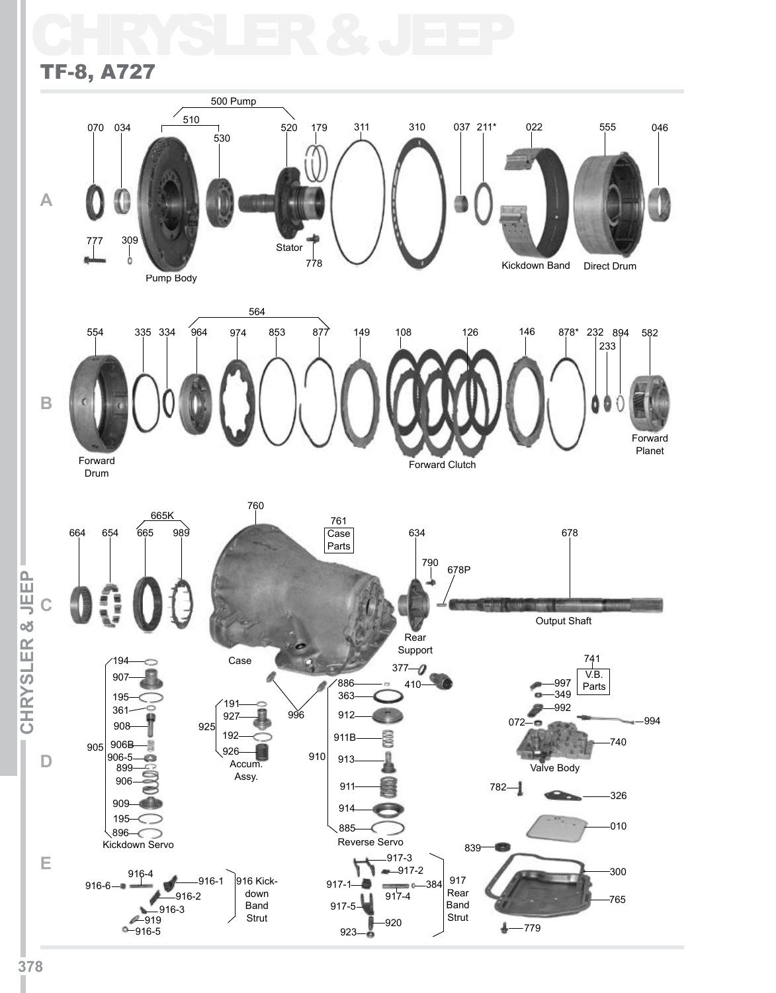## CHRYSLER & JEEP